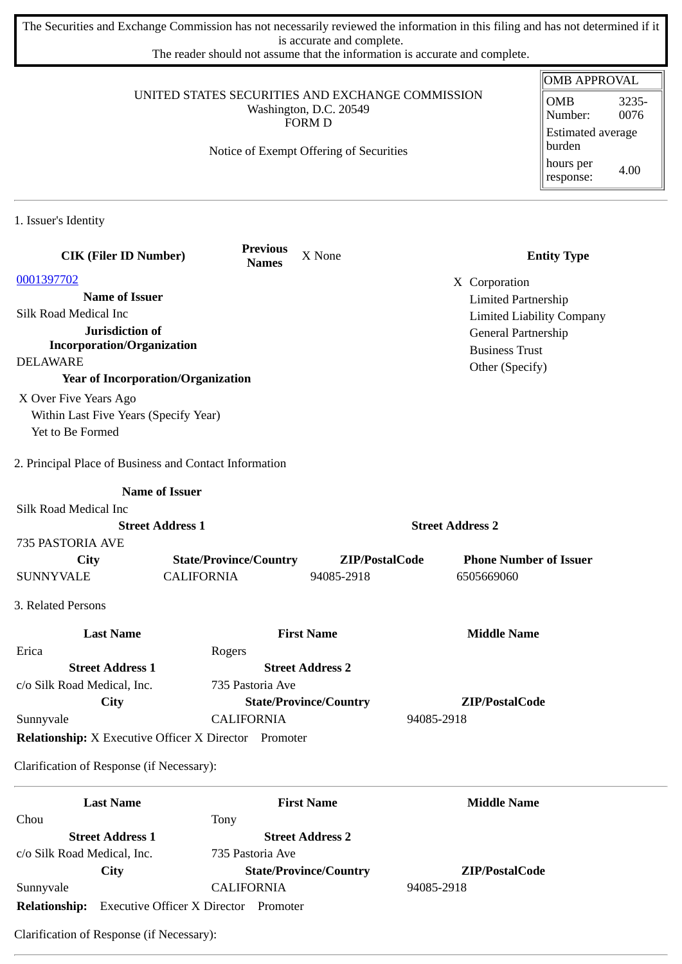The Securities and Exchange Commission has not necessarily reviewed the information in this filing and has not determined if it is accurate and complete.

The reader should not assume that the information is accurate and complete.

| <b>Last Name</b><br>Chou                                                   | Tony                            | <b>First Name</b>                       | <b>Middle Name</b>               |                                             |
|----------------------------------------------------------------------------|---------------------------------|-----------------------------------------|----------------------------------|---------------------------------------------|
| Clarification of Response (if Necessary):                                  |                                 |                                         |                                  |                                             |
| <b>Relationship:</b> X Executive Officer X Director Promoter               |                                 |                                         |                                  |                                             |
| Sunnyvale                                                                  | <b>CALIFORNIA</b>               |                                         | 94085-2918                       |                                             |
| City                                                                       |                                 | <b>State/Province/Country</b>           | ZIP/PostalCode                   |                                             |
| c/o Silk Road Medical, Inc.                                                | 735 Pastoria Ave                |                                         |                                  |                                             |
| <b>Street Address 1</b>                                                    |                                 | <b>Street Address 2</b>                 |                                  |                                             |
| <b>Last Name</b><br>Erica                                                  | Rogers                          | <b>First Name</b>                       | <b>Middle Name</b>               |                                             |
|                                                                            |                                 |                                         |                                  |                                             |
| 3. Related Persons                                                         |                                 |                                         |                                  |                                             |
| <b>SUNNYVALE</b>                                                           | <b>CALIFORNIA</b>               | 94085-2918                              | 6505669060                       |                                             |
| City                                                                       | <b>State/Province/Country</b>   | ZIP/PostalCode                          | <b>Phone Number of Issuer</b>    |                                             |
| 735 PASTORIA AVE                                                           |                                 |                                         |                                  |                                             |
| Silk Road Medical Inc<br><b>Street Address 1</b>                           |                                 |                                         | <b>Street Address 2</b>          |                                             |
| <b>Name of Issuer</b>                                                      |                                 |                                         |                                  |                                             |
|                                                                            |                                 |                                         |                                  |                                             |
| 2. Principal Place of Business and Contact Information                     |                                 |                                         |                                  |                                             |
| Yet to Be Formed                                                           |                                 |                                         |                                  |                                             |
| Within Last Five Years (Specify Year)                                      |                                 |                                         |                                  |                                             |
| X Over Five Years Ago                                                      |                                 |                                         |                                  |                                             |
| <b>Year of Incorporation/Organization</b>                                  |                                 |                                         | Other (Specify)                  |                                             |
| <b>DELAWARE</b>                                                            |                                 |                                         | <b>Business Trust</b>            |                                             |
| Jurisdiction of<br><b>Incorporation/Organization</b>                       |                                 |                                         | General Partnership              |                                             |
| Silk Road Medical Inc                                                      |                                 |                                         | <b>Limited Liability Company</b> |                                             |
| <b>Name of Issuer</b>                                                      |                                 |                                         | <b>Limited Partnership</b>       |                                             |
| 0001397702                                                                 |                                 |                                         | X Corporation                    |                                             |
| <b>CIK (Filer ID Number)</b>                                               | <b>Previous</b><br><b>Names</b> | X None                                  |                                  | <b>Entity Type</b>                          |
| 1. Issuer's Identity                                                       |                                 |                                         |                                  |                                             |
|                                                                            |                                 |                                         |                                  | hours per<br>4.00<br>response:              |
|                                                                            |                                 | Notice of Exempt Offering of Securities |                                  | burden                                      |
|                                                                            |                                 | <b>FORM D</b>                           |                                  | 0076<br>Number:<br><b>Estimated average</b> |
| UNITED STATES SECURITIES AND EXCHANGE COMMISSION<br>Washington, D.C. 20549 |                                 |                                         |                                  | <b>OMB</b><br>3235-                         |
|                                                                            |                                 |                                         |                                  |                                             |

**Street Address 1 Street Address 2** c/o Silk Road Medical, Inc. 735 Pastoria Ave **City State/Province/Country ZIP/PostalCode** Sunnyvale CALIFORNIA 94085-2918 **Relationship:** Executive Officer X Director Promoter

Clarification of Response (if Necessary):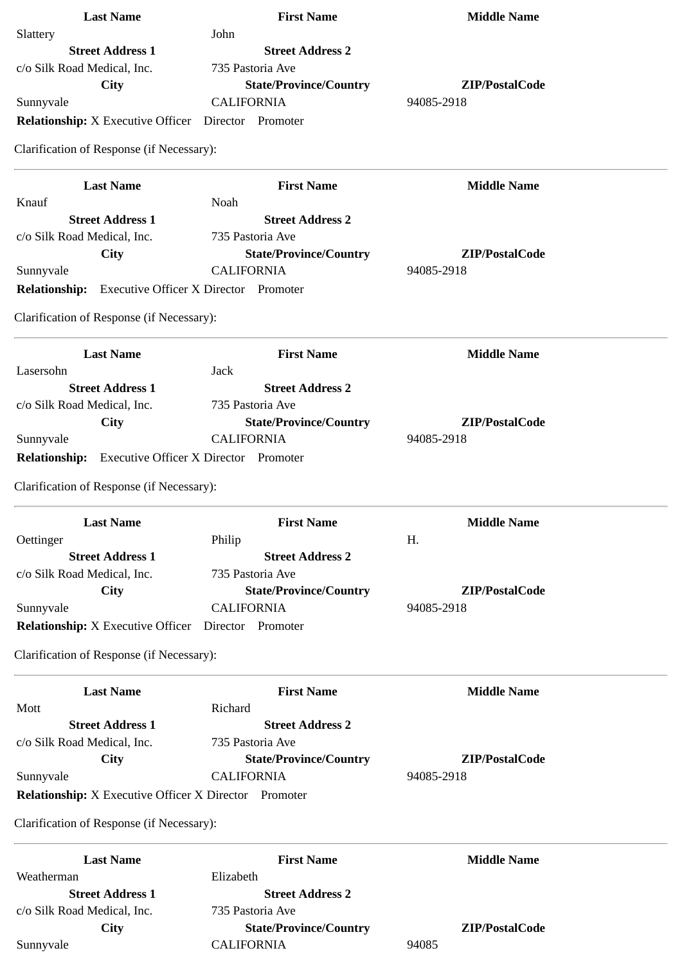| <b>Last Name</b>                                             | <b>First Name</b>             | <b>Middle Name</b> |
|--------------------------------------------------------------|-------------------------------|--------------------|
| Slattery                                                     | John                          |                    |
| <b>Street Address 1</b>                                      | <b>Street Address 2</b>       |                    |
| c/o Silk Road Medical, Inc.                                  | 735 Pastoria Ave              |                    |
| City                                                         | <b>State/Province/Country</b> | ZIP/PostalCode     |
| Sunnyvale                                                    | <b>CALIFORNIA</b>             | 94085-2918         |
| <b>Relationship:</b> X Executive Officer  Director  Promoter |                               |                    |
| Clarification of Response (if Necessary):                    |                               |                    |
| <b>Last Name</b>                                             | <b>First Name</b>             | <b>Middle Name</b> |
| Knauf                                                        | Noah                          |                    |
| <b>Street Address 1</b>                                      | <b>Street Address 2</b>       |                    |
| c/o Silk Road Medical, Inc.                                  | 735 Pastoria Ave              |                    |
| <b>City</b>                                                  | <b>State/Province/Country</b> | ZIP/PostalCode     |
| Sunnyvale                                                    | <b>CALIFORNIA</b>             | 94085-2918         |
| <b>Relationship:</b> Executive Officer X Director Promoter   |                               |                    |
| Clarification of Response (if Necessary):                    |                               |                    |
| <b>Last Name</b>                                             | <b>First Name</b>             | <b>Middle Name</b> |
| Lasersohn                                                    | <b>Jack</b>                   |                    |
| <b>Street Address 1</b>                                      | <b>Street Address 2</b>       |                    |
| c/o Silk Road Medical, Inc.                                  | 735 Pastoria Ave              |                    |
| City                                                         | <b>State/Province/Country</b> | ZIP/PostalCode     |
| Sunnyvale                                                    | <b>CALIFORNIA</b>             | 94085-2918         |
| <b>Relationship:</b> Executive Officer X Director Promoter   |                               |                    |
| Clarification of Response (if Necessary):                    |                               |                    |
| <b>Last Name</b>                                             | <b>First Name</b>             | <b>Middle Name</b> |
| Oettinger                                                    | Philip                        | Η.                 |
| <b>Street Address 1</b>                                      | <b>Street Address 2</b>       |                    |
| c/o Silk Road Medical, Inc.                                  | 735 Pastoria Ave              |                    |
| <b>City</b>                                                  | <b>State/Province/Country</b> | ZIP/PostalCode     |
| Sunnyvale                                                    | <b>CALIFORNIA</b>             | 94085-2918         |
| <b>Relationship:</b> X Executive Officer                     | Director Promoter             |                    |
| Clarification of Response (if Necessary):                    |                               |                    |
| <b>Last Name</b>                                             | <b>First Name</b>             | <b>Middle Name</b> |
| Mott                                                         | Richard                       |                    |
| <b>Street Address 1</b>                                      | <b>Street Address 2</b>       |                    |
| c/o Silk Road Medical, Inc.                                  | 735 Pastoria Ave              |                    |
| City                                                         | <b>State/Province/Country</b> | ZIP/PostalCode     |
| Sunnyvale                                                    | <b>CALIFORNIA</b>             | 94085-2918         |
| <b>Relationship:</b> X Executive Officer X Director Promoter |                               |                    |
| Clarification of Response (if Necessary):                    |                               |                    |
| <b>Last Name</b>                                             | <b>First Name</b>             | <b>Middle Name</b> |
| Weatherman                                                   | Elizabeth                     |                    |
| <b>Street Address 1</b>                                      | <b>Street Address 2</b>       |                    |
| c/o Silk Road Medical, Inc.                                  | 735 Pastoria Ave              |                    |
| City                                                         | <b>State/Province/Country</b> | ZIP/PostalCode     |
| Sunnyvale                                                    | <b>CALIFORNIA</b>             | 94085              |
|                                                              |                               |                    |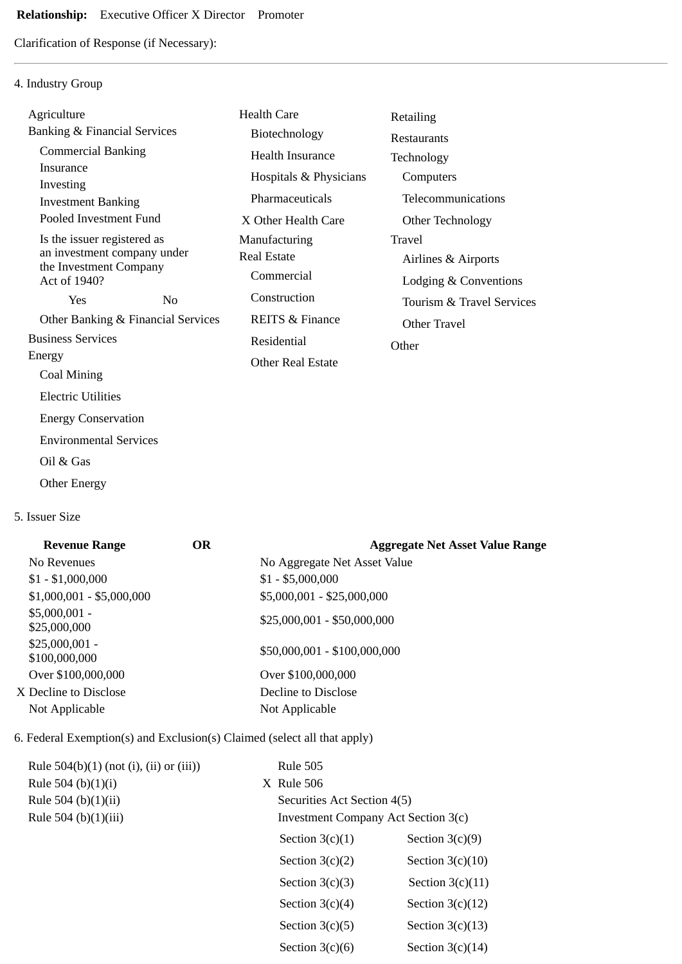# **Relationship:** Executive Officer X Director Promoter

Clarification of Response (if Necessary):

## 4. Industry Group

| Agriculture                                           |                | <b>Health Care</b>         | Retailing                 |
|-------------------------------------------------------|----------------|----------------------------|---------------------------|
| <b>Banking &amp; Financial Services</b>               |                | Biotechnology              | Restaurants               |
| <b>Commercial Banking</b>                             |                | Health Insurance           | Technology                |
| Insurance                                             |                | Hospitals & Physicians     | Computers                 |
| Investing<br><b>Investment Banking</b>                |                | Pharmaceuticals            | Telecommunications        |
| Pooled Investment Fund                                |                | X Other Health Care        | Other Technology          |
| Is the issuer registered as                           |                | Manufacturing              | Travel                    |
| an investment company under<br>the Investment Company |                | <b>Real Estate</b>         | Airlines & Airports       |
| Act of 1940?                                          |                | Commercial                 | Lodging & Conventions     |
| <b>Yes</b>                                            | N <sub>0</sub> | Construction               | Tourism & Travel Services |
| Other Banking & Financial Services                    |                | <b>REITS &amp; Finance</b> | Other Travel              |
| <b>Business Services</b>                              |                | Residential                | Other                     |
| Energy                                                |                | <b>Other Real Estate</b>   |                           |
| Coal Mining                                           |                |                            |                           |
| <b>Electric Utilities</b>                             |                |                            |                           |
| <b>Energy Conservation</b>                            |                |                            |                           |
| <b>Environmental Services</b>                         |                |                            |                           |
|                                                       |                |                            |                           |

- Oil & Gas
- Other Energy

#### 5. Issuer Size

| <b>Revenue Range</b>             | OR. | <b>Aggregate Net Asset Value Range</b> |
|----------------------------------|-----|----------------------------------------|
| No Revenues                      |     | No Aggregate Net Asset Value           |
| $$1 - $1,000,000$                |     | $$1 - $5,000,000$                      |
| $$1,000,001 - $5,000,000$        |     | \$5,000,001 - \$25,000,000             |
| $$5,000,001 -$<br>\$25,000,000   |     | $$25,000,001 - $50,000,000$            |
| $$25,000,001 -$<br>\$100,000,000 |     | \$50,000,001 - \$100,000,000           |
| Over \$100,000,000               |     | Over \$100,000,000                     |
| X Decline to Disclose            |     | Decline to Disclose                    |
| Not Applicable                   |     | Not Applicable                         |
|                                  |     |                                        |

## 6. Federal Exemption(s) and Exclusion(s) Claimed (select all that apply)

| Rule $504(b)(1)$ (not (i), (ii) or (iii)) | <b>Rule 505</b>                     |                    |
|-------------------------------------------|-------------------------------------|--------------------|
| Rule 504 (b) $(1)(i)$                     | X Rule 506                          |                    |
| Rule 504 (b) $(1)(ii)$                    | Securities Act Section 4(5)         |                    |
| Rule 504 (b)(1)(iii)                      | Investment Company Act Section 3(c) |                    |
|                                           | Section $3(c)(1)$                   | Section $3(c)(9)$  |
|                                           | Section $3(c)(2)$                   | Section $3(c)(10)$ |
|                                           | Section $3(c)(3)$                   | Section $3(c)(11)$ |
|                                           | Section $3(c)(4)$                   | Section $3(c)(12)$ |
|                                           | Section $3(c)(5)$                   | Section $3(c)(13)$ |
|                                           | Section $3(c)(6)$                   | Section $3(c)(14)$ |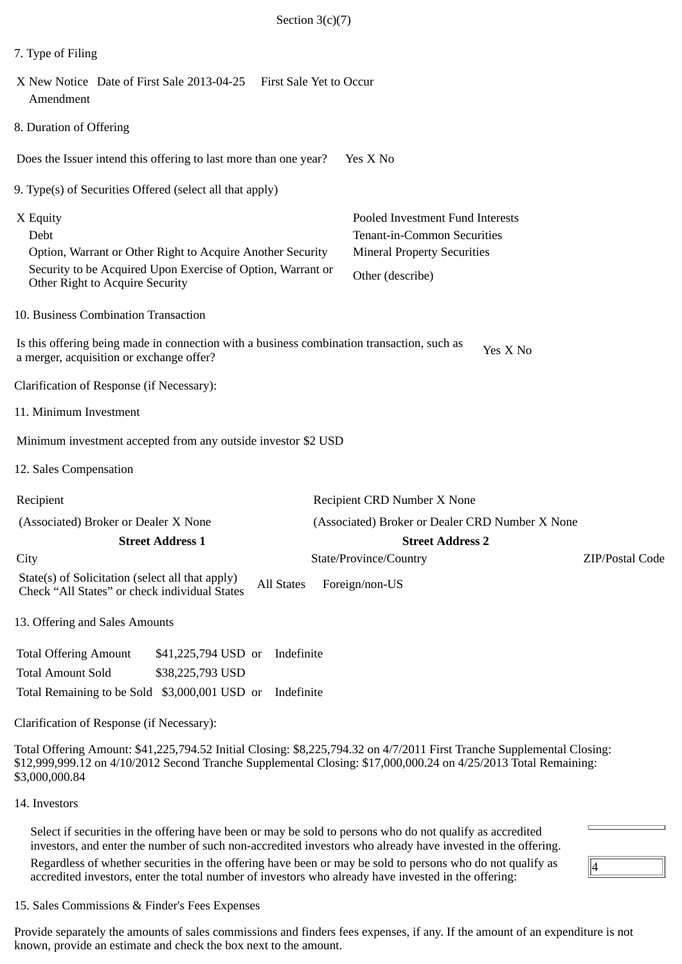| Section $3(c)(7)$                                                                                                                                                                                                       |                                                                                                                           |
|-------------------------------------------------------------------------------------------------------------------------------------------------------------------------------------------------------------------------|---------------------------------------------------------------------------------------------------------------------------|
| 7. Type of Filing                                                                                                                                                                                                       |                                                                                                                           |
| X New Notice Date of First Sale 2013-04-25<br>First Sale Yet to Occur<br>Amendment                                                                                                                                      |                                                                                                                           |
| 8. Duration of Offering                                                                                                                                                                                                 |                                                                                                                           |
| Does the Issuer intend this offering to last more than one year?                                                                                                                                                        | Yes X No                                                                                                                  |
| 9. Type(s) of Securities Offered (select all that apply)                                                                                                                                                                |                                                                                                                           |
| X Equity<br>Debt<br>Option, Warrant or Other Right to Acquire Another Security<br>Security to be Acquired Upon Exercise of Option, Warrant or<br>Other Right to Acquire Security                                        | Pooled Investment Fund Interests<br>Tenant-in-Common Securities<br><b>Mineral Property Securities</b><br>Other (describe) |
| 10. Business Combination Transaction                                                                                                                                                                                    |                                                                                                                           |
| Is this offering being made in connection with a business combination transaction, such as<br>a merger, acquisition or exchange offer?                                                                                  | Yes X No                                                                                                                  |
| Clarification of Response (if Necessary):                                                                                                                                                                               |                                                                                                                           |
| 11. Minimum Investment                                                                                                                                                                                                  |                                                                                                                           |
| Minimum investment accepted from any outside investor \$2 USD                                                                                                                                                           |                                                                                                                           |
| 12. Sales Compensation                                                                                                                                                                                                  |                                                                                                                           |
| Recipient                                                                                                                                                                                                               | Recipient CRD Number X None                                                                                               |
| (Associated) Broker or Dealer X None                                                                                                                                                                                    | (Associated) Broker or Dealer CRD Number X None                                                                           |
| <b>Street Address 1</b>                                                                                                                                                                                                 | <b>Street Address 2</b>                                                                                                   |
| City<br>State(s) of Solicitation (select all that apply)<br><b>All States</b><br>Check "All States" or check individual States                                                                                          | State/Province/Country<br>ZIP/Postal Code<br>Foreign/non-US                                                               |
| 13. Offering and Sales Amounts                                                                                                                                                                                          |                                                                                                                           |
| <b>Total Offering Amount</b><br>\$41,225,794 USD or Indefinite<br><b>Total Amount Sold</b><br>\$38,225,793 USD<br>Total Remaining to be Sold \$3,000,001 USD or Indefinite<br>Clarification of Response (if Necessary): |                                                                                                                           |

Total Offering Amount: \$41,225,794.52 Initial Closing: \$8,225,794.32 on 4/7/2011 First Tranche Supplemental Closing: \$12,999,999.12 on 4/10/2012 Second Tranche Supplemental Closing: \$17,000,000.24 on 4/25/2013 Total Remaining: \$3,000,000.84

#### 14. Investors

Select if securities in the offering have been or may be sold to persons who do not qualify as accredited investors, and enter the number of such non-accredited investors who already have invested in the offering. Regardless of whether securities in the offering have been or may be sold to persons who do not qualify as accredited investors, enter the total number of investors who already have invested in the offering:

### 15. Sales Commissions & Finder's Fees Expenses

Provide separately the amounts of sales commissions and finders fees expenses, if any. If the amount of an expenditure is not known, provide an estimate and check the box next to the amount.

 $\sqrt{4}$